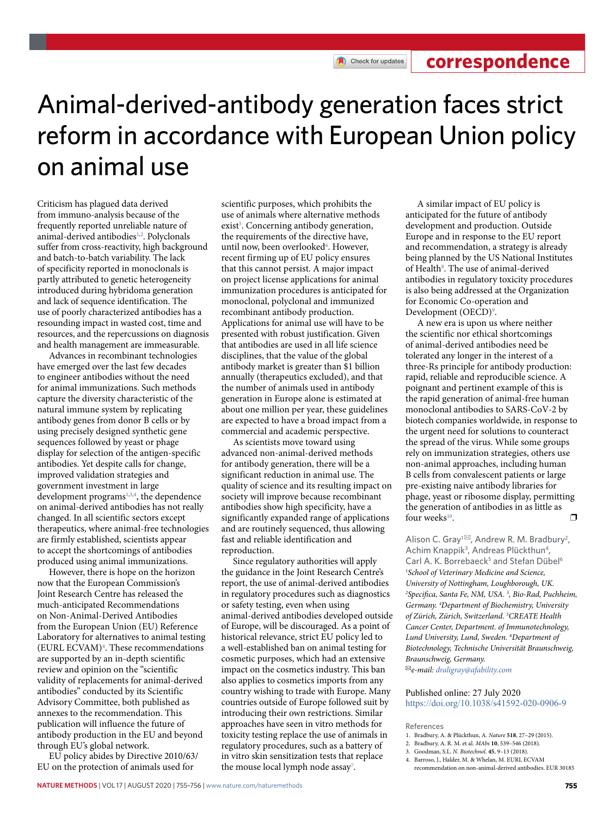Check for updates

## Animal-derived-antibody generation faces strict reform in accordance with European Union policy on animal use

Criticism has plagued data derived from immuno-analysis because of the frequently reported unreliable nature of animal-derived antibodies<sup>1,[2](#page-0-1)</sup>. Polyclonals suffer from cross-reactivity, high background and batch-to-batch variability. The lack of specificity reported in monoclonals is partly attributed to genetic heterogeneity introduced during hybridoma generation and lack of sequence identification. The use of poorly characterized antibodies has a resounding impact in wasted cost, time and resources, and the repercussions on diagnosis and health management are immeasurable.

Advances in recombinant technologies have emerged over the last few decades to engineer antibodies without the need for animal immunizations. Such methods capture the diversity characteristic of the natural immune system by replicating antibody genes from donor B cells or by using precisely designed synthetic gene sequences followed by yeast or phage display for selection of the antigen-specific antibodies. Yet despite calls for change, improved validation strategies and government investment in large development programs<sup>[1](#page-0-0),[3](#page-0-2),[4](#page-0-3)</sup>, the dependence on animal-derived antibodies has not really changed. In all scientific sectors except therapeutics, where animal-free technologies are firmly established, scientists appear to accept the shortcomings of antibodies produced using animal immunizations.

However, there is hope on the horizon now that the European Commission's Joint Research Centre has released the much-anticipated Recommendations on Non-Animal-Derived Antibodies from the European Union (EU) Reference Laboratory for alternatives to animal testing (EURL ECVAM[\)4](#page-0-3) . These recommendations are supported by an in-depth scientific review and opinion on the "scientific validity of replacements for animal-derived antibodies" conducted by its Scientific Advisory Committee, both published as annexes to the recommendation. This publication will influence the future of antibody production in the EU and beyond through EU's global network.

EU policy abides by Directive 2010/63/ EU on the protection of animals used for

scientific purposes, which prohibits the use of animals where alternative methods exist<sup>5</sup>. Concerning antibody generation, the requirements of the directive have, until now, been overlooked<sup>6</sup>. However, recent firming up of EU policy ensures that this cannot persist. A major impact on project license applications for animal immunization procedures is anticipated for monoclonal, polyclonal and immunized recombinant antibody production. Applications for animal use will have to be presented with robust justification. Given that antibodies are used in all life science disciplines, that the value of the global antibody market is greater than \$1 billion annually (therapeutics excluded), and that the number of animals used in antibody generation in Europe alone is estimated at about one million per year, these guidelines are expected to have a broad impact from a commercial and academic perspective.

As scientists move toward using advanced non-animal-derived methods for antibody generation, there will be a significant reduction in animal use. The quality of science and its resulting impact on society will improve because recombinant antibodies show high specificity, have a significantly expanded range of applications and are routinely sequenced, thus allowing fast and reliable identification and reproduction.

Since regulatory authorities will apply the guidance in the Joint Research Centre's report, the use of animal-derived antibodies in regulatory procedures such as diagnostics or safety testing, even when using animal-derived antibodies developed outside of Europe, will be discouraged. As a point of historical relevance, strict EU policy led to a well-established ban on animal testing for cosmetic purposes, which had an extensive impact on the cosmetics industry. This ban also applies to cosmetics imports from any country wishing to trade with Europe. Many countries outside of Europe followed suit by introducing their own restrictions. Similar approaches have seen in vitro methods for toxicity testing replace the use of animals in regulatory procedures, such as a battery of in vitro skin sensitization tests that replace the mouse local lymph node assay<sup>[7](#page-1-2)</sup>.

A similar impact of EU policy is anticipated for the future of antibody development and production. Outside Europe and in response to the EU report and recommendation, a strategy is already being planned by the US National Institutes of Health<sup>8</sup>. The use of animal-derived antibodies in regulatory toxicity procedures is also being addressed at the Organization for Economic Co-operation and Development (OECD)<sup>[9](#page-1-4)</sup>.

A new era is upon us where neither the scientific nor ethical shortcomings of animal-derived antibodies need be tolerated any longer in the interest of a three-Rs principle for antibody production: rapid, reliable and reproducible science. A poignant and pertinent example of this is the rapid generation of animal-free human monoclonal antibodies to SARS-CoV-2 by biotech companies worldwide, in response to the urgent need for solutions to counteract the spread of the virus. While some groups rely on immunization strategies, others use non-animal approaches, including human B cells from convalescent patients or large pre-existing naive antibody libraries for phage, yeast or ribosome display, permitting the generation of antibodies in as little as four weeks<sup>[10](#page-1-5)</sup>.  $\Box$ 

Alison C. Gray<sup>1 $\boxtimes$ </sup>, Andrew R. M. Bradbury<sup>2</sup>, Achim Knappik<sup>3</sup>, Andreas Plückthun<sup>4</sup>, Carl A. K. Borrebaeck<sup>5</sup> and Stefan Dübel<sup>6</sup> *1 School of Veterinary Medicine and Science, University of Nottingham, Loughborough, UK.*  <sup>2</sup> Specifica, Santa Fe, NM, USA.<sup>3</sup>, Bio-Rad, Puchheim, *Germany. 4 Department of Biochemistry, University of Zürich, Zürich, Switzerland. 5 CREATE Health Cancer Center, Department. of Immunotechnology, Lund University, Lund, Sweden. 6 Department of Biotechnology, Technische Universität Braunschweig, Braunschweig, Germany.*  ✉*e-mail: [draligray@afability.com](mailto:draligray@afability.com)*

Published online: 27 July 2020 <https://doi.org/10.1038/s41592-020-0906-9>

References

- <span id="page-0-0"></span>1. Bradbury, A. & Plückthun, A. *Nature* **518**, 27–29 (2015).
- <span id="page-0-1"></span>2. Bradbury, A. R. M. et al. *MAbs* **10**, 539–546 (2018).
- <span id="page-0-2"></span>3. Goodman, S.L. *N. Biotechnol*. **45**, 9–13 (2018).
- <span id="page-0-3"></span>4. Barroso, J., Halder, M. & Whelan, M. EURL ECVAM recommendation on non-animal-derived antibodies. EUR 30185